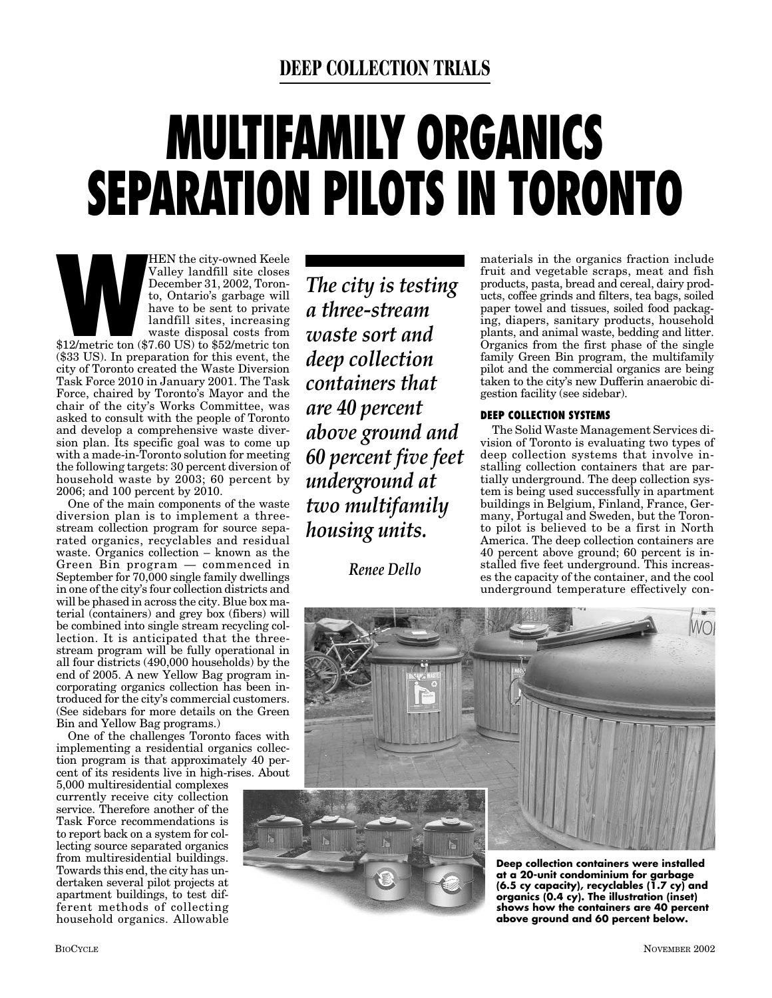### **DEEP COLLECTION TRIALS**

# **MULTIFAMILY ORGANICS SEPARATION PILOTS IN TORONTO**

HEN the city-owned Keele<br>
Valley landfill site closes<br>
December 31, 2002, Toron-<br>
to, Ontario's garbage will<br>
have to be sent to private<br>
landfill sites, increasing<br>
waste disposal costs from<br>
\$12/metric ton (\$7.60 US) to Valley landfill site closes December 31, 2002, Toronto, Ontario's garbage will have to be sent to private landfill sites, increasing waste disposal costs from (\$33 US). In preparation for this event, the city of Toronto created the Waste Diversion Task Force 2010 in January 2001. The Task Force, chaired by Toronto's Mayor and the chair of the city's Works Committee, was asked to consult with the people of Toronto and develop a comprehensive waste diversion plan. Its specific goal was to come up with a made-in-Toronto solution for meeting the following targets: 30 percent diversion of household waste by 2003; 60 percent by 2006; and 100 percent by 2010.

One of the main components of the waste diversion plan is to implement a threestream collection program for source separated organics, recyclables and residual waste. Organics collection – known as the Green Bin program — commenced in September for 70,000 single family dwellings in one of the city's four collection districts and will be phased in across the city. Blue box material (containers) and grey box (fibers) will be combined into single stream recycling collection. It is anticipated that the threestream program will be fully operational in all four districts (490,000 households) by the end of 2005. A new Yellow Bag program incorporating organics collection has been introduced for the city's commercial customers. (See sidebars for more details on the Green Bin and Yellow Bag programs.)

One of the challenges Toronto faces with implementing a residential organics collection program is that approximately 40 percent of its residents live in high-rises. About

5,000 multiresidential complexes currently receive city collection service. Therefore another of the Task Force recommendations is to report back on a system for collecting source separated organics from multiresidential buildings. Towards this end, the city has undertaken several pilot projects at apartment buildings, to test different methods of collecting household organics. Allowable

*The city is testing a three-stream waste sort and deep collection containers that are 40 percent above ground and 60 percent five feet underground at two multifamily housing units.*

*Renee Dello*

materials in the organics fraction include fruit and vegetable scraps, meat and fish products, pasta, bread and cereal, dairy products, coffee grinds and filters, tea bags, soiled paper towel and tissues, soiled food packaging, diapers, sanitary products, household plants, and animal waste, bedding and litter. Organics from the first phase of the single family Green Bin program, the multifamily pilot and the commercial organics are being taken to the city's new Dufferin anaerobic digestion facility (see sidebar).

#### **DEEP COLLECTION SYSTEMS**

The Solid Waste Management Services division of Toronto is evaluating two types of deep collection systems that involve installing collection containers that are partially underground. The deep collection system is being used successfully in apartment buildings in Belgium, Finland, France, Germany, Portugal and Sweden, but the Toronto pilot is believed to be a first in North America. The deep collection containers are 40 percent above ground; 60 percent is installed five feet underground. This increases the capacity of the container, and the cool underground temperature effectively con-



**(6.5 cy capacity), recyclables (1.7 cy) and organics (0.4 cy). The illustration (inset) shows how the containers are 40 percent above ground and 60 percent below.**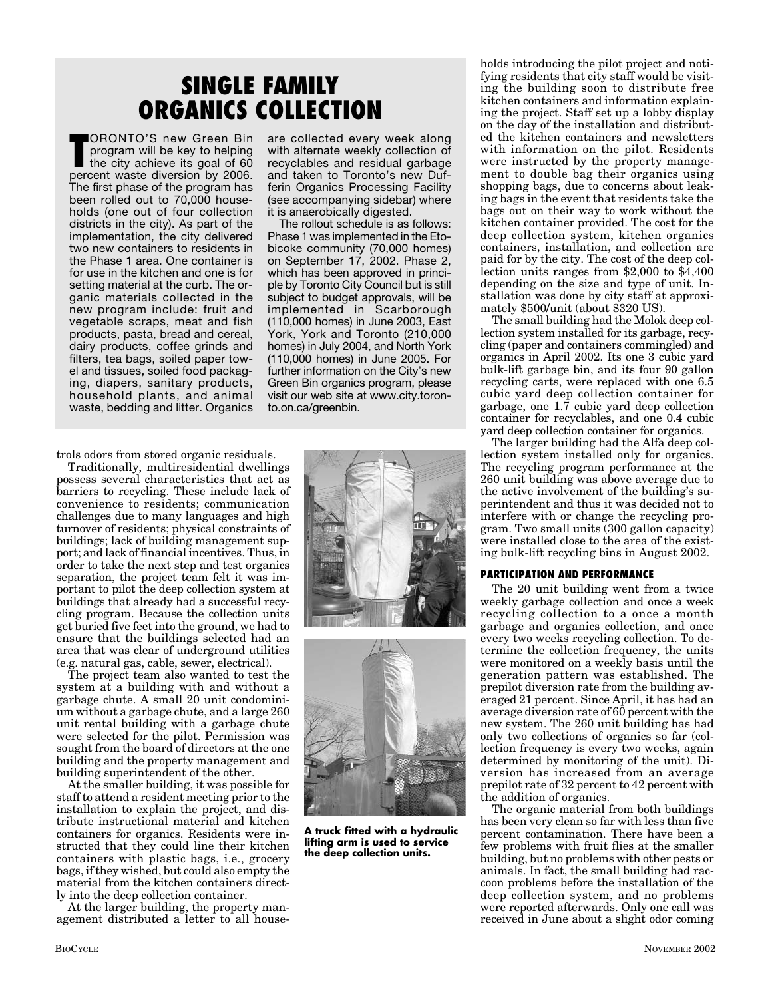# **SINGLE FAMILY ORGANICS COLLECTION**

**TORONTO'S new Green Bin**<br>program will be key to helping<br>the city achieve its goal of 60<br>percent waste diversion by 2006. ORONTO'S new Green Bin program will be key to helping the city achieve its goal of 60 The first phase of the program has been rolled out to 70,000 households (one out of four collection districts in the city). As part of the implementation, the city delivered two new containers to residents in the Phase 1 area. One container is for use in the kitchen and one is for setting material at the curb. The organic materials collected in the new program include: fruit and vegetable scraps, meat and fish products, pasta, bread and cereal, dairy products, coffee grinds and filters, tea bags, soiled paper towel and tissues, soiled food packaging, diapers, sanitary products, household plants, and animal waste, bedding and litter. Organics

trols odors from stored organic residuals.

Traditionally, multiresidential dwellings possess several characteristics that act as barriers to recycling. These include lack of convenience to residents; communication challenges due to many languages and high turnover of residents; physical constraints of buildings; lack of building management support; and lack of financial incentives. Thus, in order to take the next step and test organics separation, the project team felt it was important to pilot the deep collection system at buildings that already had a successful recycling program. Because the collection units get buried five feet into the ground, we had to ensure that the buildings selected had an area that was clear of underground utilities (e.g. natural gas, cable, sewer, electrical).

The project team also wanted to test the system at a building with and without a garbage chute. A small 20 unit condominium without a garbage chute, and a large 260 unit rental building with a garbage chute were selected for the pilot. Permission was sought from the board of directors at the one building and the property management and building superintendent of the other.

At the smaller building, it was possible for staff to attend a resident meeting prior to the installation to explain the project, and distribute instructional material and kitchen containers for organics. Residents were instructed that they could line their kitchen containers with plastic bags, i.e., grocery bags, if they wished, but could also empty the material from the kitchen containers directly into the deep collection container.

At the larger building, the property management distributed a letter to all house-

are collected every week along with alternate weekly collection of recyclables and residual garbage and taken to Toronto's new Dufferin Organics Processing Facility (see accompanying sidebar) where it is anaerobically digested.

The rollout schedule is as follows: Phase 1 was implemented in the Etobicoke community (70,000 homes) on September 17, 2002. Phase 2, which has been approved in principle by Toronto City Council but is still subject to budget approvals, will be implemented in Scarborough (110,000 homes) in June 2003, East York, York and Toronto (210,000 homes) in July 2004, and North York (110,000 homes) in June 2005. For further information on the City's new Green Bin organics program, please visit our web site at www.city.toronto.on.ca/greenbin.





**A truck fitted with a hydraulic lifting arm is used to service the deep collection units.**

holds introducing the pilot project and notifying residents that city staff would be visiting the building soon to distribute free kitchen containers and information explaining the project. Staff set up a lobby display on the day of the installation and distributed the kitchen containers and newsletters with information on the pilot. Residents were instructed by the property management to double bag their organics using shopping bags, due to concerns about leaking bags in the event that residents take the bags out on their way to work without the kitchen container provided. The cost for the deep collection system, kitchen organics containers, installation, and collection are paid for by the city. The cost of the deep collection units ranges from \$2,000 to \$4,400 depending on the size and type of unit. Installation was done by city staff at approximately \$500/unit (about \$320 US).

The small building had the Molok deep collection system installed for its garbage, recycling (paper and containers commingled) and organics in April 2002. Its one 3 cubic yard bulk-lift garbage bin, and its four 90 gallon recycling carts, were replaced with one 6.5 cubic yard deep collection container for garbage, one 1.7 cubic yard deep collection container for recyclables, and one 0.4 cubic yard deep collection container for organics.

The larger building had the Alfa deep collection system installed only for organics. The recycling program performance at the 260 unit building was above average due to the active involvement of the building's superintendent and thus it was decided not to interfere with or change the recycling program. Two small units (300 gallon capacity) were installed close to the area of the existing bulk-lift recycling bins in August 2002.

#### **PARTICIPATION AND PERFORMANCE**

The 20 unit building went from a twice weekly garbage collection and once a week recycling collection to a once a month garbage and organics collection, and once every two weeks recycling collection. To determine the collection frequency, the units were monitored on a weekly basis until the generation pattern was established. The prepilot diversion rate from the building averaged 21 percent. Since April, it has had an average diversion rate of 60 percent with the new system. The 260 unit building has had only two collections of organics so far (collection frequency is every two weeks, again determined by monitoring of the unit). Diversion has increased from an average prepilot rate of 32 percent to 42 percent with the addition of organics.

The organic material from both buildings has been very clean so far with less than five percent contamination. There have been a few problems with fruit flies at the smaller building, but no problems with other pests or animals. In fact, the small building had raccoon problems before the installation of the deep collection system, and no problems were reported afterwards. Only one call was received in June about a slight odor coming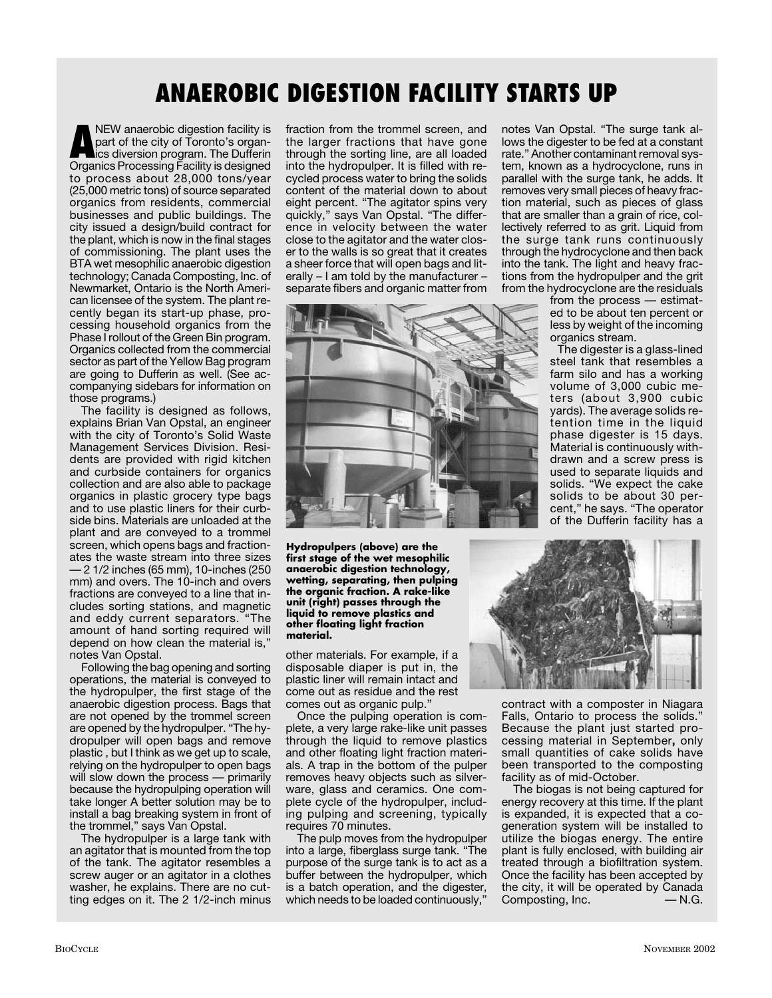# **ANAEROBIC DIGESTION FACILITY STARTS UP**

**ANEW anaerobic digestion facility is<br>part of the city of Toronto's organics<br>Organics Processing Facility is designed** part of the city of Toronto's organ-Organics Processing Facility is designed to process about 28,000 tons/year (25,000 metric tons) of source separated organics from residents, commercial businesses and public buildings. The city issued a design/build contract for the plant, which is now in the final stages of commissioning. The plant uses the BTA wet mesophilic anaerobic digestion technology; Canada Composting, Inc. of Newmarket, Ontario is the North American licensee of the system. The plant recently began its start-up phase, processing household organics from the Phase I rollout of the Green Bin program. Organics collected from the commercial sector as part of the Yellow Bag program are going to Dufferin as well. (See accompanying sidebars for information on those programs.)

The facility is designed as follows, explains Brian Van Opstal, an engineer with the city of Toronto's Solid Waste Management Services Division. Residents are provided with rigid kitchen and curbside containers for organics collection and are also able to package organics in plastic grocery type bags and to use plastic liners for their curbside bins. Materials are unloaded at the plant and are conveyed to a trommel screen, which opens bags and fractionates the waste stream into three sizes — 2 1/2 inches (65 mm), 10-inches (250 mm) and overs. The 10-inch and overs fractions are conveyed to a line that includes sorting stations, and magnetic and eddy current separators. "The amount of hand sorting required will depend on how clean the material is," notes Van Opstal.

Following the bag opening and sorting operations, the material is conveyed to the hydropulper, the first stage of the anaerobic digestion process. Bags that are not opened by the trommel screen are opened by the hydropulper. "The hydropulper will open bags and remove plastic , but I think as we get up to scale, relying on the hydropulper to open bags will slow down the process — primarily because the hydropulping operation will take longer A better solution may be to install a bag breaking system in front of the trommel," says Van Opstal.

The hydropulper is a large tank with an agitator that is mounted from the top of the tank. The agitator resembles a screw auger or an agitator in a clothes washer, he explains. There are no cutting edges on it. The 2 1/2-inch minus fraction from the trommel screen, and the larger fractions that have gone through the sorting line, are all loaded into the hydropulper. It is filled with recycled process water to bring the solids content of the material down to about eight percent. "The agitator spins very quickly," says Van Opstal. "The difference in velocity between the water close to the agitator and the water closer to the walls is so great that it creates a sheer force that will open bags and literally – I am told by the manufacturer – separate fibers and organic matter from



**Hydropulpers (above) are the first stage of the wet mesophilic anaerobic digestion technology, wetting, separating, then pulping the organic fraction. A rake-like unit (right) passes through the liquid to remove plastics and other floating light fraction material.**

other materials. For example, if a disposable diaper is put in, the plastic liner will remain intact and come out as residue and the rest comes out as organic pulp."

Once the pulping operation is complete, a very large rake-like unit passes through the liquid to remove plastics and other floating light fraction materials. A trap in the bottom of the pulper removes heavy objects such as silverware, glass and ceramics. One complete cycle of the hydropulper, including pulping and screening, typically requires 70 minutes.

The pulp moves from the hydropulper into a large, fiberglass surge tank. "The purpose of the surge tank is to act as a buffer between the hydropulper, which is a batch operation, and the digester, which needs to be loaded continuously,"

notes Van Opstal. "The surge tank allows the digester to be fed at a constant rate." Another contaminant removal system, known as a hydrocyclone, runs in parallel with the surge tank, he adds. It removes very small pieces of heavy fraction material, such as pieces of glass that are smaller than a grain of rice, collectively referred to as grit. Liquid from the surge tank runs continuously through the hydrocyclone and then back into the tank. The light and heavy fractions from the hydropulper and the grit from the hydrocyclone are the residuals

from the process — estimated to be about ten percent or less by weight of the incoming organics stream.

The digester is a glass-lined steel tank that resembles a farm silo and has a working volume of 3,000 cubic meters (about 3,900 cubic yards). The average solids retention time in the liquid phase digester is 15 days. Material is continuously withdrawn and a screw press is used to separate liquids and solids. "We expect the cake solids to be about 30 percent," he says. "The operator of the Dufferin facility has a



contract with a composter in Niagara Falls, Ontario to process the solids." Because the plant just started processing material in September**,** only small quantities of cake solids have been transported to the composting facility as of mid-October.

The biogas is not being captured for energy recovery at this time. If the plant is expanded, it is expected that a cogeneration system will be installed to utilize the biogas energy. The entire plant is fully enclosed, with building air treated through a biofiltration system. Once the facility has been accepted by the city, it will be operated by Canada Composting, Inc. – M.G.